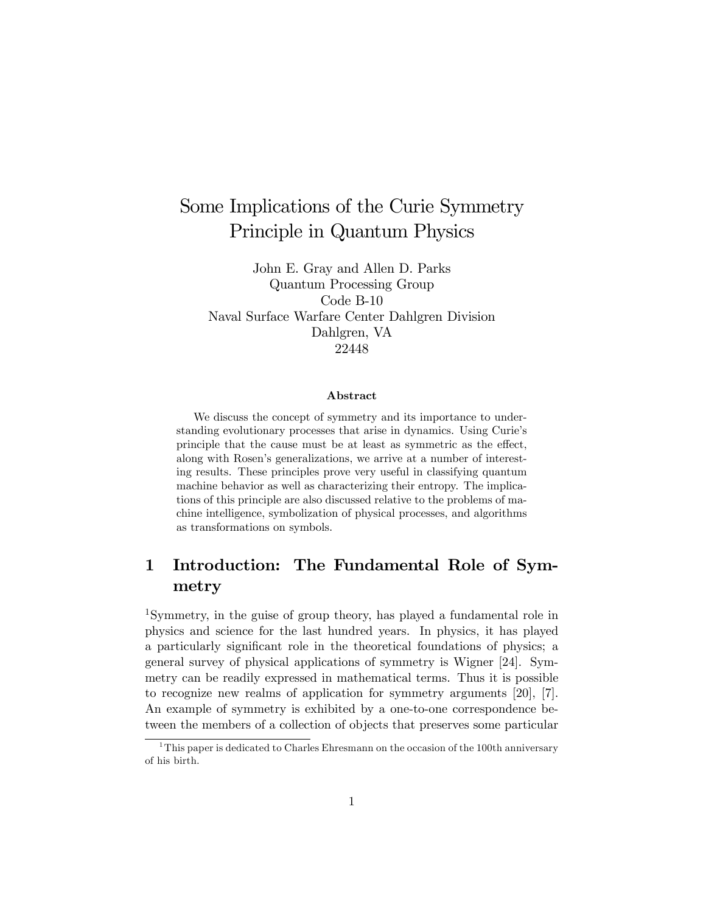# Some Implications of the Curie Symmetry Principle in Quantum Physics

John E. Gray and Allen D. Parks Quantum Processing Group Code B-10 Naval Surface Warfare Center Dahlgren Division Dahlgren, VA 22448

#### Abstract

We discuss the concept of symmetry and its importance to understanding evolutionary processes that arise in dynamics. Using Curie's principle that the cause must be at least as symmetric as the effect, along with Rosen's generalizations, we arrive at a number of interesting results. These principles prove very useful in classifying quantum machine behavior as well as characterizing their entropy. The implications of this principle are also discussed relative to the problems of machine intelligence, symbolization of physical processes, and algorithms as transformations on symbols.

# 1 Introduction: The Fundamental Role of Symmetry

<sup>1</sup>Symmetry, in the guise of group theory, has played a fundamental role in physics and science for the last hundred years. In physics, it has played a particularly significant role in the theoretical foundations of physics; a general survey of physical applications of symmetry is Wigner [24]. Symmetry can be readily expressed in mathematical terms. Thus it is possible to recognize new realms of application for symmetry arguments [20], [7]. An example of symmetry is exhibited by a one-to-one correspondence between the members of a collection of objects that preserves some particular

<sup>&</sup>lt;sup>1</sup>This paper is dedicated to Charles Ehresmann on the occasion of the 100th anniversary of his birth.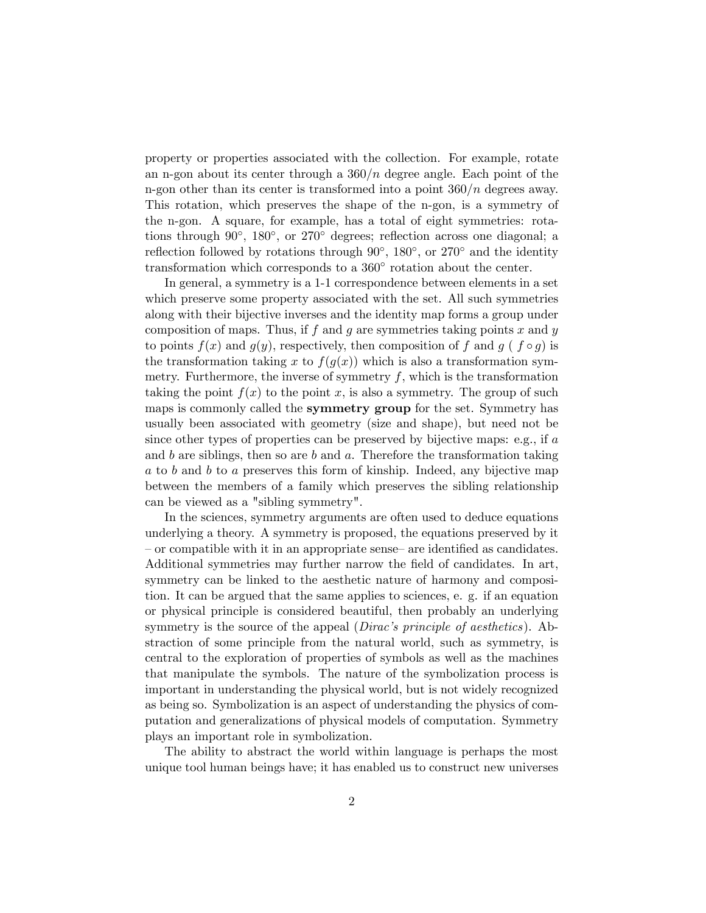property or properties associated with the collection. For example, rotate an n-gon about its center through a  $360/n$  degree angle. Each point of the n-gon other than its center is transformed into a point  $360/n$  degrees away. This rotation, which preserves the shape of the n-gon, is a symmetry of the n-gon. A square, for example, has a total of eight symmetries: rotations through 90<sup>°</sup>, 180<sup>°</sup>, or 270<sup>°</sup> degrees; reflection across one diagonal; a reflection followed by rotations through  $90^{\circ}$ ,  $180^{\circ}$ , or  $270^{\circ}$  and the identity transformation which corresponds to a 360<sup>°</sup> rotation about the center.

In general, a symmetry is a 1-1 correspondence between elements in a set which preserve some property associated with the set. All such symmetries along with their bijective inverses and the identity map forms a group under composition of maps. Thus, if f and g are symmetries taking points x and y to points  $f(x)$  and  $g(y)$ , respectively, then composition of f and g (f  $\circ g$ ) is the transformation taking x to  $f(g(x))$  which is also a transformation symmetry. Furthermore, the inverse of symmetry  $f$ , which is the transformation taking the point  $f(x)$  to the point x, is also a symmetry. The group of such maps is commonly called the **symmetry group** for the set. Symmetry has usually been associated with geometry (size and shape), but need not be since other types of properties can be preserved by bijective maps: e.g., if a and  $b$  are siblings, then so are  $b$  and  $a$ . Therefore the transformation taking a to b and b to a preserves this form of kinship. Indeed, any bijective map between the members of a family which preserves the sibling relationship can be viewed as a "sibling symmetry".

In the sciences, symmetry arguments are often used to deduce equations underlying a theory. A symmetry is proposed, the equations preserved by it  $\sim$  or compatible with it in an appropriate sense— are identified as candidates. Additional symmetries may further narrow the field of candidates. In art, symmetry can be linked to the aesthetic nature of harmony and composition. It can be argued that the same applies to sciences, e. g. if an equation or physical principle is considered beautiful, then probably an underlying symmetry is the source of the appeal (*Dirac's principle of aesthetics*). Abstraction of some principle from the natural world, such as symmetry, is central to the exploration of properties of symbols as well as the machines that manipulate the symbols. The nature of the symbolization process is important in understanding the physical world, but is not widely recognized as being so. Symbolization is an aspect of understanding the physics of computation and generalizations of physical models of computation. Symmetry plays an important role in symbolization.

The ability to abstract the world within language is perhaps the most unique tool human beings have; it has enabled us to construct new universes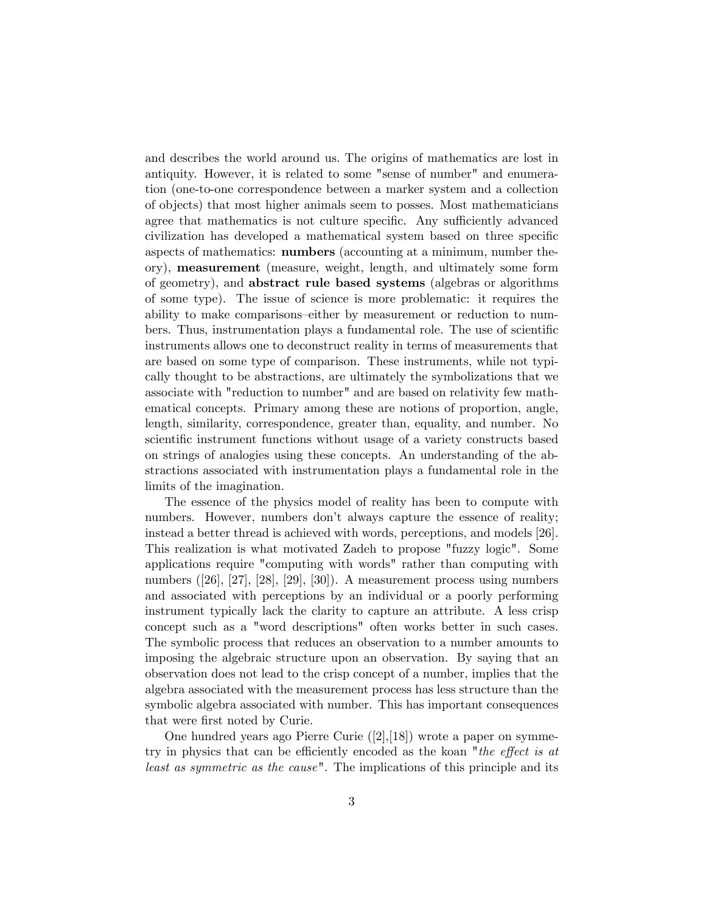and describes the world around us. The origins of mathematics are lost in antiquity. However, it is related to some "sense of number" and enumeration (one-to-one correspondence between a marker system and a collection of objects) that most higher animals seem to posses. Most mathematicians agree that mathematics is not culture specific. Any sufficiently advanced civilization has developed a mathematical system based on three speciÖc aspects of mathematics: numbers (accounting at a minimum, number theory), measurement (measure, weight, length, and ultimately some form of geometry), and abstract rule based systems (algebras or algorithms of some type). The issue of science is more problematic: it requires the ability to make comparisons—either by measurement or reduction to numbers. Thus, instrumentation plays a fundamental role. The use of scientific instruments allows one to deconstruct reality in terms of measurements that are based on some type of comparison. These instruments, while not typically thought to be abstractions, are ultimately the symbolizations that we associate with "reduction to number" and are based on relativity few mathematical concepts. Primary among these are notions of proportion, angle, length, similarity, correspondence, greater than, equality, and number. No scientific instrument functions without usage of a variety constructs based on strings of analogies using these concepts. An understanding of the abstractions associated with instrumentation plays a fundamental role in the limits of the imagination.

The essence of the physics model of reality has been to compute with numbers. However, numbers don't always capture the essence of reality; instead a better thread is achieved with words, perceptions, and models [26]. This realization is what motivated Zadeh to propose "fuzzy logic". Some applications require "computing with words" rather than computing with numbers ([26], [27], [28], [29], [30]). A measurement process using numbers and associated with perceptions by an individual or a poorly performing instrument typically lack the clarity to capture an attribute. A less crisp concept such as a "word descriptions" often works better in such cases. The symbolic process that reduces an observation to a number amounts to imposing the algebraic structure upon an observation. By saying that an observation does not lead to the crisp concept of a number, implies that the algebra associated with the measurement process has less structure than the symbolic algebra associated with number. This has important consequences that were first noted by Curie.

One hundred years ago Pierre Curie ([2],[18]) wrote a paper on symmetry in physics that can be efficiently encoded as the koan "the effect is at least as symmetric as the cause". The implications of this principle and its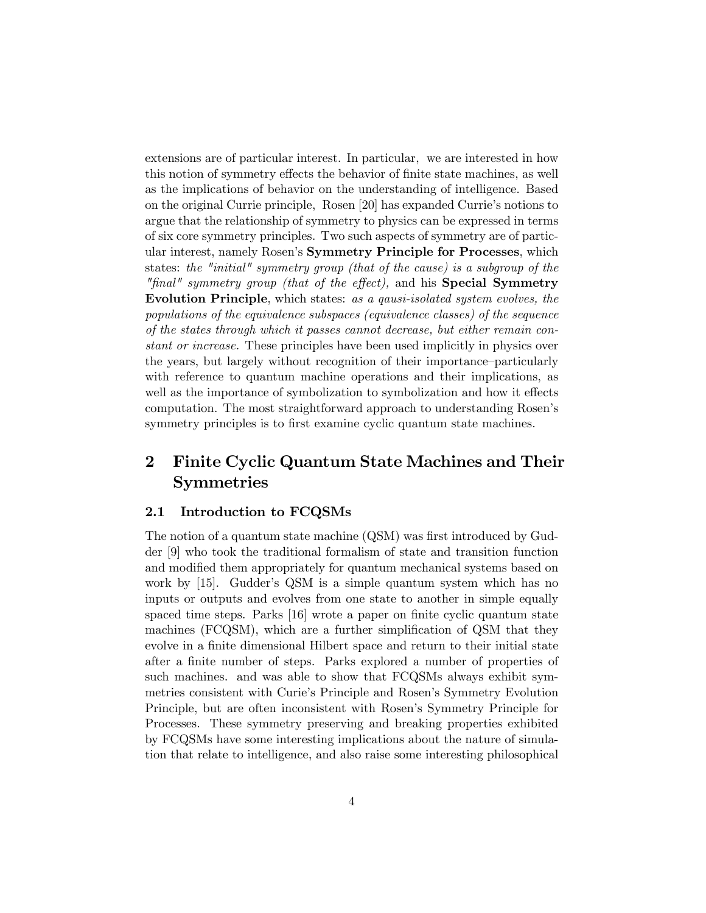extensions are of particular interest. In particular, we are interested in how this notion of symmetry effects the behavior of finite state machines, as well as the implications of behavior on the understanding of intelligence. Based on the original Currie principle, Rosen [20] has expanded Currie's notions to argue that the relationship of symmetry to physics can be expressed in terms of six core symmetry principles. Two such aspects of symmetry are of particular interest, namely Rosen's **Symmetry Principle for Processes**, which states: the "initial" symmetry group (that of the cause) is a subgroup of the "final" symmetry group (that of the effect), and his **Special Symmetry** Evolution Principle, which states: as a qausi-isolated system evolves, the populations of the equivalence subspaces (equivalence classes) of the sequence of the states through which it passes cannot decrease, but either remain constant or increase. These principles have been used implicitly in physics over the years, but largely without recognition of their importance–particularly with reference to quantum machine operations and their implications, as well as the importance of symbolization to symbolization and how it effects computation. The most straightforward approach to understanding Rosenís symmetry principles is to first examine cyclic quantum state machines.

# 2 Finite Cyclic Quantum State Machines and Their **Symmetries**

#### 2.1 Introduction to FCQSMs

The notion of a quantum state machine (QSM) was first introduced by Gudder [9] who took the traditional formalism of state and transition function and modified them appropriately for quantum mechanical systems based on work by  $[15]$ . Gudder's QSM is a simple quantum system which has no inputs or outputs and evolves from one state to another in simple equally spaced time steps. Parks [16] wrote a paper on finite cyclic quantum state machines (FCQSM), which are a further simplification of QSM that they evolve in a finite dimensional Hilbert space and return to their initial state after a finite number of steps. Parks explored a number of properties of such machines. and was able to show that FCQSMs always exhibit symmetries consistent with Curieís Principle and Rosenís Symmetry Evolution Principle, but are often inconsistent with Rosenís Symmetry Principle for Processes. These symmetry preserving and breaking properties exhibited by FCQSMs have some interesting implications about the nature of simulation that relate to intelligence, and also raise some interesting philosophical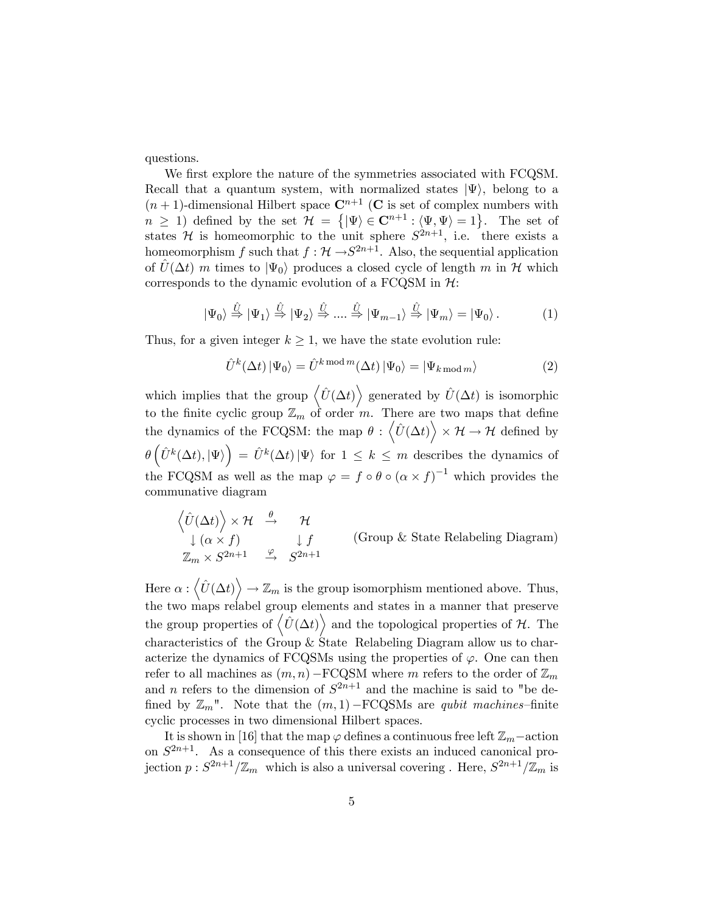questions.

We first explore the nature of the symmetries associated with FCQSM. Recall that a quantum system, with normalized states  $|\Psi\rangle$ , belong to a  $(n+1)$ -dimensional Hilbert space  $\mathbb{C}^{n+1}$  (C is set of complex numbers with  $n \geq 1$ ) defined by the set  $\mathcal{H} = \{|\Psi\rangle \in \mathbb{C}^{n+1} : \langle \Psi, \Psi \rangle = 1\}$ . The set of states H is homeomorphic to the unit sphere  $S^{2n+1}$ , i.e. there exists a homeomorphism f such that  $f : \mathcal{H} \rightarrow S^{2n+1}$ . Also, the sequential application of  $\hat{U}(\Delta t)$  m times to  $|\Psi_0\rangle$  produces a closed cycle of length m in H which corresponds to the dynamic evolution of a FCQSM in  $H$ :

$$
|\Psi_0\rangle \stackrel{\hat{U}}{\Rightarrow} |\Psi_1\rangle \stackrel{\hat{U}}{\Rightarrow} |\Psi_2\rangle \stackrel{\hat{U}}{\Rightarrow} \dots \stackrel{\hat{U}}{\Rightarrow} |\Psi_{m-1}\rangle \stackrel{\hat{U}}{\Rightarrow} |\Psi_m\rangle = |\Psi_0\rangle.
$$
 (1)

Thus, for a given integer  $k \geq 1$ , we have the state evolution rule:

$$
\hat{U}^{k}(\Delta t) \left| \Psi_{0} \right\rangle = \hat{U}^{k \mod m}(\Delta t) \left| \Psi_{0} \right\rangle = \left| \Psi_{k \mod m} \right\rangle \tag{2}
$$

which implies that the group  $\langle \hat{U}(\Delta t) \rangle$  generated by  $\hat{U}(\Delta t)$  is isomorphic to the finite cyclic group  $\mathbb{Z}_m$  of order m. There are two maps that define the dynamics of the FCQSM: the map  $\theta$  :  $\langle \hat{U}(\Delta t) \rangle$  $\times$   $\mathcal{H} \rightarrow \mathcal{H}$  defined by  $\theta\left(\hat{U}^k(\Delta t),|\Psi\rangle\right) = \hat{U}^k(\Delta t)|\Psi\rangle$  for  $1 \leq k \leq m$  describes the dynamics of the FCQSM as well as the map  $\varphi = f \circ \theta \circ (\alpha \times f)^{-1}$  which provides the communative diagram

$$
\langle \hat{U}(\Delta t) \rangle \times \mathcal{H} \xrightarrow{\theta} \mathcal{H}
$$
\n
$$
\downarrow (\alpha \times f) \qquad \qquad \downarrow f \qquad \qquad \text{(Group & State Relabeling Diagram)}
$$
\n
$$
\mathbb{Z}_m \times S^{2n+1} \xrightarrow{\varphi} S^{2n+1}
$$

Here  $\alpha$  :  $\langle \hat{U}(\Delta t) \rangle \rightarrow \mathbb{Z}_m$  is the group isomorphism mentioned above. Thus, the two maps relabel group elements and states in a manner that preserve the group properties of  $\langle \hat{U}(\Delta t) \rangle$  and the topological properties of H. The characteristics of the Group & State Relabeling Diagram allow us to characterize the dynamics of FCQSMs using the properties of  $\varphi$ . One can then refer to all machines as  $(m, n)$  – FCQSM where m refers to the order of  $\mathbb{Z}_m$ and *n* refers to the dimension of  $S^{2n+1}$  and the machine is said to "be defined by  $\mathbb{Z}_m$ ". Note that the  $(m, 1)$  – FCQSMs are *qubit machines*-finite cyclic processes in two dimensional Hilbert spaces.

It is shown in [16] that the map  $\varphi$  defines a continuous free left  $\mathbb{Z}_m$ -action on  $S^{2n+1}$ . As a consequence of this there exists an induced canonical projection  $p: S^{2n+1}/\mathbb{Z}_m$  which is also a universal covering . Here,  $S^{2n+1}/\mathbb{Z}_m$  is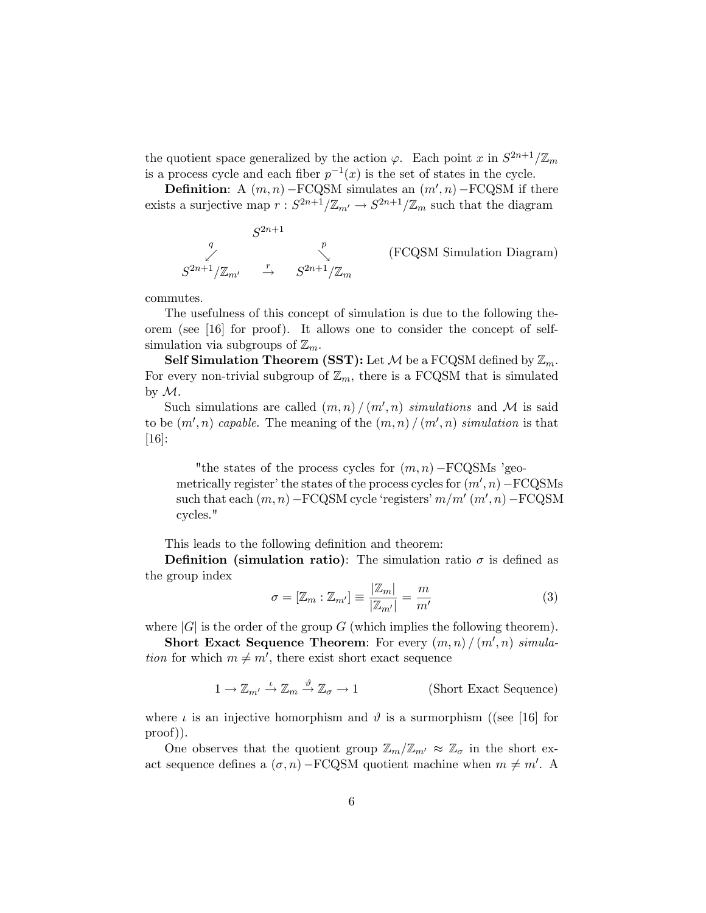the quotient space generalized by the action  $\varphi$ . Each point x in  $S^{2n+1}/\mathbb{Z}_m$ is a process cycle and each fiber  $p^{-1}(x)$  is the set of states in the cycle.

**Definition:** A  $(m, n)$  – FCQSM simulates an  $(m', n)$  – FCQSM if there exists a surjective map  $r: S^{2n+1}/\mathbb{Z}_{m'} \to S^{2n+1}/\mathbb{Z}_m$  such that the diagram

$$
S^{2n+1}
$$
\n
$$
S^{2n+1}/\mathbb{Z}_{m'}
$$
\n
$$
S^{2n+1}/\mathbb{Z}_{m'}
$$
\n
$$
S^{2n+1}/\mathbb{Z}_{m}
$$
\n(FCQSM Simulation Diagram)

commutes.

The usefulness of this concept of simulation is due to the following theorem (see [16] for proof). It allows one to consider the concept of selfsimulation via subgroups of  $\mathbb{Z}_m$ .

Self Simulation Theorem (SST): Let  $\mathcal M$  be a FCQSM defined by  $\mathbb Z_m$ . For every non-trivial subgroup of  $\mathbb{Z}_m$ , there is a FCQSM that is simulated by  $\mathcal{M}$ .

Such simulations are called  $(m, n) / (m', n)$  simulations and M is said to be  $(m', n)$  capable. The meaning of the  $(m, n) / (m', n)$  simulation is that [16]:

"the states of the process cycles for  $(m, n)$  -FCQSMs 'geometrically register' the states of the process cycles for  $(m', n)$  – FCQSMs such that each  $(m, n)$  – FCQSM cycle 'registers'  $m/m'$   $(m', n)$  – FCQSM cycles."

This leads to the following definition and theorem:

**Definition** (simulation ratio): The simulation ratio  $\sigma$  is defined as the group index

$$
\sigma = [\mathbb{Z}_m : \mathbb{Z}_{m'}] \equiv \frac{|\mathbb{Z}_m|}{|\mathbb{Z}_{m'}|} = \frac{m}{m'}
$$
(3)

where  $|G|$  is the order of the group G (which implies the following theorem).

Short Exact Sequence Theorem: For every  $(m, n) / (m', n)$  simula*tion* for which  $m \neq m'$ , there exist short exact sequence

$$
1 \to \mathbb{Z}_{m'} \xrightarrow{\iota} \mathbb{Z}_m \xrightarrow{\vartheta} \mathbb{Z}_{\sigma} \to 1
$$
 (Short Exact Sequence)

where  $\iota$  is an injective homorphism and  $\vartheta$  is a surmorphism ((see [16] for proof)).

One observes that the quotient group  $\mathbb{Z}_m/\mathbb{Z}_{m'} \approx \mathbb{Z}_\sigma$  in the short exact sequence defines a  $(\sigma, n)$  – FCQSM quotient machine when  $m \neq m'$ . A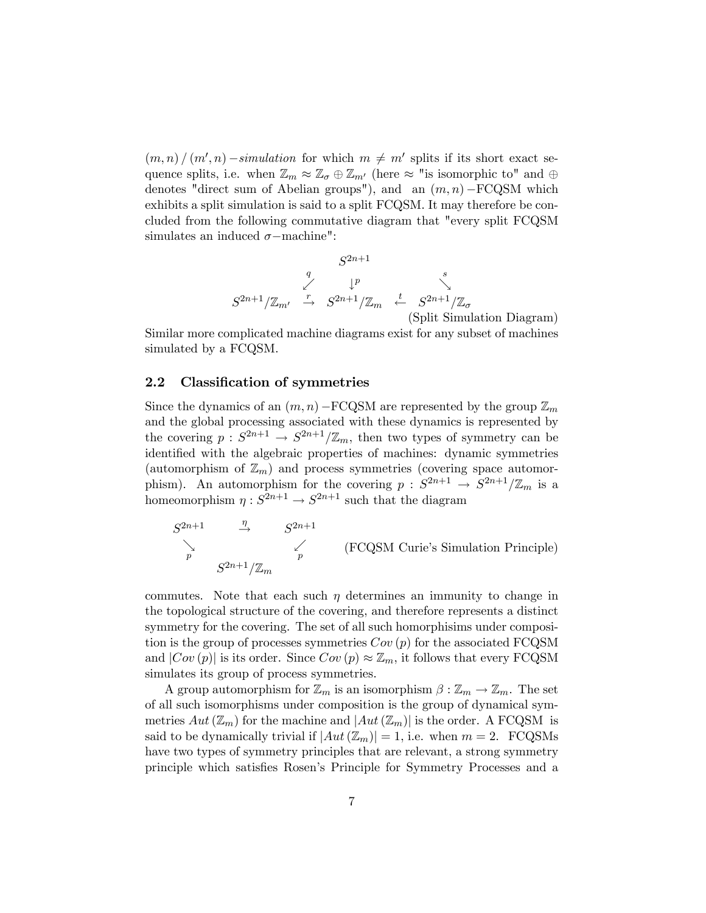$(m, n) / (m', n) - simulation$  for which  $m \neq m'$  splits if its short exact sequence splits, i.e. when  $\mathbb{Z}_m \approx \mathbb{Z}_{\sigma} \oplus \mathbb{Z}_{m'}$  (here  $\approx$  "is isomorphic to" and  $\oplus$ denotes "direct sum of Abelian groups"), and an  $(m, n)$  –  $FCQSM$  which exhibits a split simulation is said to a split FCQSM. It may therefore be concluded from the following commutative diagram that "every split FCQSM simulates an induced  $\sigma$ -machine":

$$
S^{2n+1}
$$
\n
$$
S^{2n+1}/\mathbb{Z}_{m'} \stackrel{q}{\rightarrow} S^{2n+1}/\mathbb{Z}_m \stackrel{t}{\leftarrow} S^{2n+1}/\mathbb{Z}_\sigma
$$
\n(Split Simulation Diagram)

Similar more complicated machine diagrams exist for any subset of machines simulated by a FCQSM.

#### 2.2 Classification of symmetries

Since the dynamics of an  $(m, n)$  – FCQSM are represented by the group  $\mathbb{Z}_m$ and the global processing associated with these dynamics is represented by the covering  $p: S^{2n+1} \to S^{2n+1}/\mathbb{Z}_m$ , then two types of symmetry can be identified with the algebraic properties of machines: dynamic symmetries (automorphism of  $\mathbb{Z}_m$ ) and process symmetries (covering space automorphism). An automorphism for the covering  $p: S^{2n+1} \to S^{2n+1}/\mathbb{Z}_m$  is a homeomorphism  $\eta: S^{2n+1} \to S^{2n+1}$  such that the diagram

 $S^{2n+1}$   $\longrightarrow$   $S^{2n+1}$  $\begin{array}{ccc}\n\searrow & & & \swarrow \\
p & & & p\n\end{array}$  $S^{2n+1}/\mathbb{Z}_m$ (FCQSM Curie's Simulation Principle)

commutes. Note that each such  $\eta$  determines an immunity to change in the topological structure of the covering, and therefore represents a distinct symmetry for the covering. The set of all such homorphisims under composition is the group of processes symmetries  $Cov(p)$  for the associated FCQSM and  $|Cov(p)|$  is its order. Since  $Cov(p) \approx \mathbb{Z}_m$ , it follows that every FCQSM simulates its group of process symmetries.

A group automorphism for  $\mathbb{Z}_m$  is an isomorphism  $\beta : \mathbb{Z}_m \to \mathbb{Z}_m$ . The set of all such isomorphisms under composition is the group of dynamical symmetries  $Aut(\mathbb{Z}_m)$  for the machine and  $|Aut(\mathbb{Z}_m)|$  is the order. A FCQSM is said to be dynamically trivial if  $|Aut(\mathbb{Z}_m)| = 1$ , i.e. when  $m = 2$ . FCQSMs have two types of symmetry principles that are relevant, a strong symmetry principle which satisfies Rosen's Principle for Symmetry Processes and a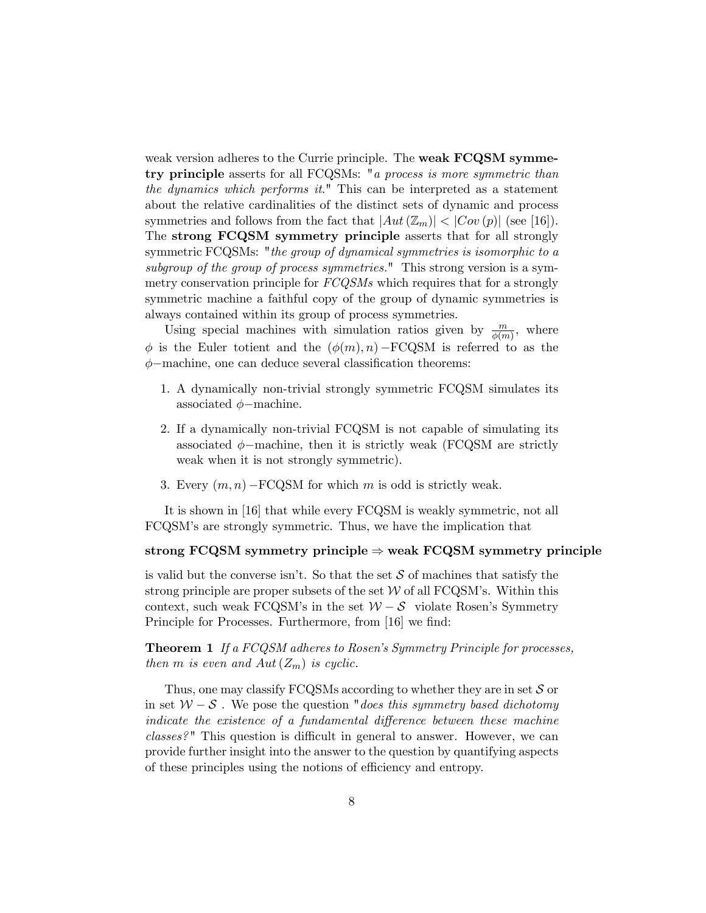weak version adheres to the Currie principle. The weak FCQSM symmetry principle asserts for all FCQSMs: "a process is more symmetric than the dynamics which performs it." This can be interpreted as a statement about the relative cardinalities of the distinct sets of dynamic and process symmetries and follows from the fact that  $|Aut(\mathbb{Z}_m)| < |Cov(p)|$  (see [16]). The strong FCQSM symmetry principle asserts that for all strongly symmetric FCQSMs: "the group of dynamical symmetries is isomorphic to a subgroup of the group of process symmetries." This strong version is a symmetry conservation principle for  $FCQSMs$  which requires that for a strongly symmetric machine a faithful copy of the group of dynamic symmetries is always contained within its group of process symmetries.

Using special machines with simulation ratios given by  $\frac{m}{\phi(m)}$ , where  $\phi$  is the Euler totient and the  $(\phi(m), n)$  – FCQSM is referred to as the  $\phi$ -machine, one can deduce several classification theorems:

- 1. A dynamically non-trivial strongly symmetric FCQSM simulates its associated  $\phi$ -machine.
- 2. If a dynamically non-trivial FCQSM is not capable of simulating its associated  $\phi$ -machine, then it is strictly weak (FCQSM are strictly weak when it is not strongly symmetric).
- 3. Every  $(m, n)$  FCQSM for which m is odd is strictly weak.

It is shown in [16] that while every FCQSM is weakly symmetric, not all FCQSMís are strongly symmetric. Thus, we have the implication that

#### strong FCQSM symmetry principle  $\Rightarrow$  weak FCQSM symmetry principle

is valid but the converse isn't. So that the set  $S$  of machines that satisfy the strong principle are proper subsets of the set  $\mathcal W$  of all FCQSM's. Within this context, such weak FCQSM's in the set  $W - S$  violate Rosen's Symmetry Principle for Processes. Furthermore, from [16] we find:

**Theorem 1** If a FCQSM adheres to Rosen's Symmetry Principle for processes, then m is even and  $Aut(Z_m)$  is cyclic.

Thus, one may classify FCQSMs according to whether they are in set  $S$  or in set  $W-S$ . We pose the question "does this symmetry based dichotomy indicate the existence of a fundamental difference between these machine  $classes$ <sup>n</sup> This question is difficult in general to answer. However, we can provide further insight into the answer to the question by quantifying aspects of these principles using the notions of efficiency and entropy.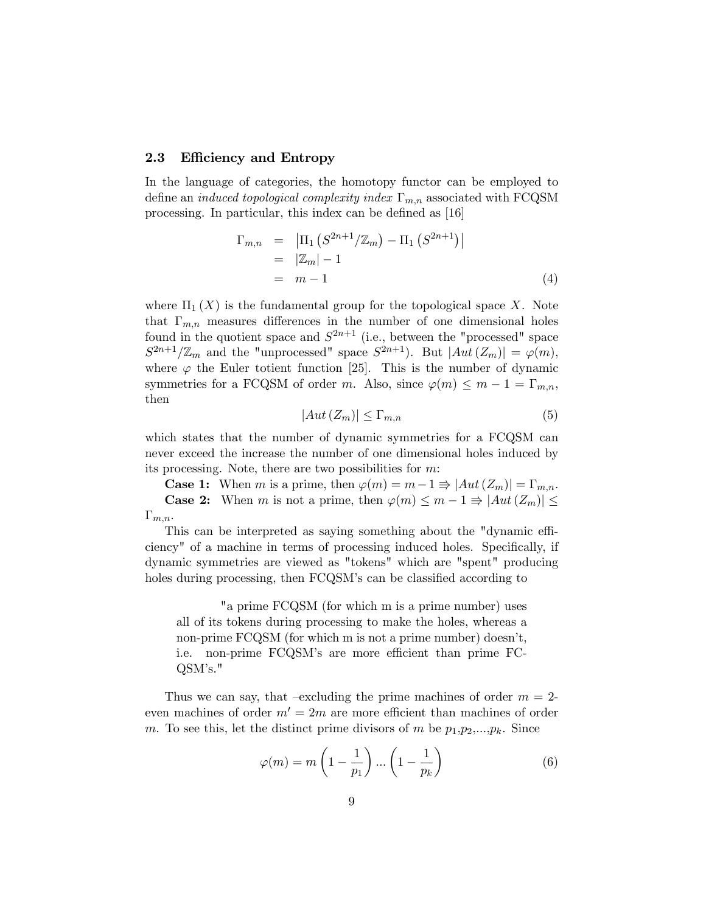#### 2.3 Efficiency and Entropy

In the language of categories, the homotopy functor can be employed to define an *induced topological complexity index*  $\Gamma_{m,n}$  associated with FCQSM processing. In particular, this index can be defined as  $[16]$ 

$$
\Gamma_{m,n} = |\Pi_1 (S^{2n+1}/\mathbb{Z}_m) - \Pi_1 (S^{2n+1})|
$$
  
=  $|\mathbb{Z}_m| - 1$   
=  $m - 1$  (4)

where  $\Pi_1(X)$  is the fundamental group for the topological space X. Note that  $\Gamma_{m,n}$  measures differences in the number of one dimensional holes found in the quotient space and  $S^{2n+1}$  (i.e., between the "processed" space  $S^{2n+1}/\mathbb{Z}_m$  and the "unprocessed" space  $S^{2n+1}$ ). But  $|Aut(Z_m)| = \varphi(m)$ , where  $\varphi$  the Euler totient function [25]. This is the number of dynamic symmetries for a FCQSM of order m. Also, since  $\varphi(m) \leq m - 1 = \Gamma_{m,n}$ , then

$$
|Aut\left(Z_m\right)| \le \Gamma_{m,n} \tag{5}
$$

which states that the number of dynamic symmetries for a FCQSM can never exceed the increase the number of one dimensional holes induced by its processing. Note, there are two possibilities for m:

**Case 1:** When m is a prime, then  $\varphi(m) = m-1 \Rightarrow |Aut(Z_m)| = \Gamma_{m,n}$ . **Case 2:** When m is not a prime, then  $\varphi(m) \leq m - 1 \Rightarrow |Aut(Z_m)| \leq$  $\Gamma_{m,n}$ .

This can be interpreted as saying something about the "dynamic efficiency" of a machine in terms of processing induced holes. Specifically, if dynamic symmetries are viewed as "tokens" which are "spent" producing holes during processing, then FCQSM's can be classified according to

"a prime FCQSM (for which m is a prime number) uses all of its tokens during processing to make the holes, whereas a non-prime FCQSM (for which m is not a prime number) doesn't, i.e. non-prime FCQSM's are more efficient than prime FC- $\text{QSM's."}$ 

Thus we can say, that –excluding the prime machines of order  $m = 2$ even machines of order  $m' = 2m$  are more efficient than machines of order m. To see this, let the distinct prime divisors of m be  $p_1, p_2,...,p_k$ . Since

$$
\varphi(m) = m\left(1 - \frac{1}{p_1}\right) \dots \left(1 - \frac{1}{p_k}\right) \tag{6}
$$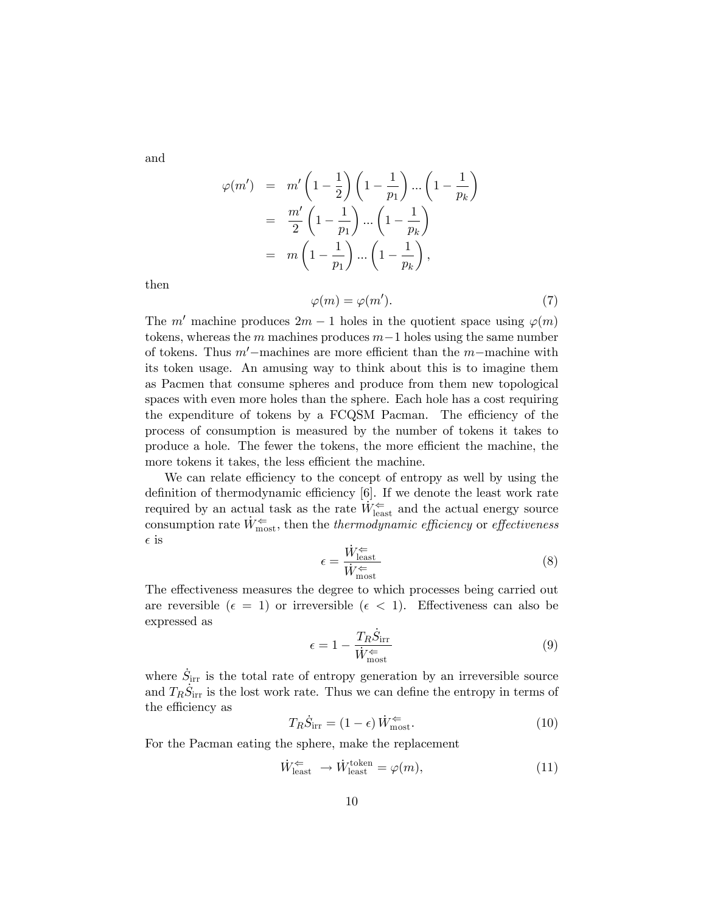and

$$
\varphi(m') = m' \left(1 - \frac{1}{2}\right) \left(1 - \frac{1}{p_1}\right) \dots \left(1 - \frac{1}{p_k}\right)
$$
  
= 
$$
\frac{m'}{2} \left(1 - \frac{1}{p_1}\right) \dots \left(1 - \frac{1}{p_k}\right)
$$
  
= 
$$
m \left(1 - \frac{1}{p_1}\right) \dots \left(1 - \frac{1}{p_k}\right),
$$

then

$$
\varphi(m) = \varphi(m'). \tag{7}
$$

The m' machine produces  $2m - 1$  holes in the quotient space using  $\varphi(m)$ tokens, whereas the m machines produces  $m-1$  holes using the same number of tokens. Thus  $m'$ -machines are more efficient than the m-machine with its token usage. An amusing way to think about this is to imagine them as Pacmen that consume spheres and produce from them new topological spaces with even more holes than the sphere. Each hole has a cost requiring the expenditure of tokens by a FCQSM Pacman. The efficiency of the process of consumption is measured by the number of tokens it takes to produce a hole. The fewer the tokens, the more efficient the machine, the more tokens it takes, the less efficient the machine.

We can relate efficiency to the concept of entropy as well by using the definition of thermodynamic efficiency  $[6]$ . If we denote the least work rate required by an actual task as the rate  $\dot{W}_{\rm least}^{\Leftarrow}$  and the actual energy source consumption rate  $\dot{W}_{\text{most}}^{\Leftarrow}$ , then the thermodynamic efficiency or effectiveness  $\epsilon$  is

$$
\epsilon = \frac{\dot{W}_{\text{least}}^{\Leftarrow}}{\dot{W}_{\text{most}}^{\Leftarrow}} \tag{8}
$$

The effectiveness measures the degree to which processes being carried out are reversible ( $\epsilon = 1$ ) or irreversible ( $\epsilon < 1$ ). Effectiveness can also be expressed as

$$
\epsilon = 1 - \frac{T_R \dot{S}_{\text{irr}}}{\dot{W}_{\text{most}}^{\Leftarrow}} \tag{9}
$$

where  $\dot{S}_{irr}$  is the total rate of entropy generation by an irreversible source and  $T_R \dot{S}_{irr}$  is the lost work rate. Thus we can define the entropy in terms of the efficiency as

$$
T_R \dot{S}_{irr} = (1 - \epsilon) \dot{W}_{most}^{\Leftarrow}.
$$
 (10)

For the Pacman eating the sphere, make the replacement

$$
\dot{W}_{\text{least}}^{\Leftarrow} \to \dot{W}_{\text{least}}^{\text{token}} = \varphi(m),\tag{11}
$$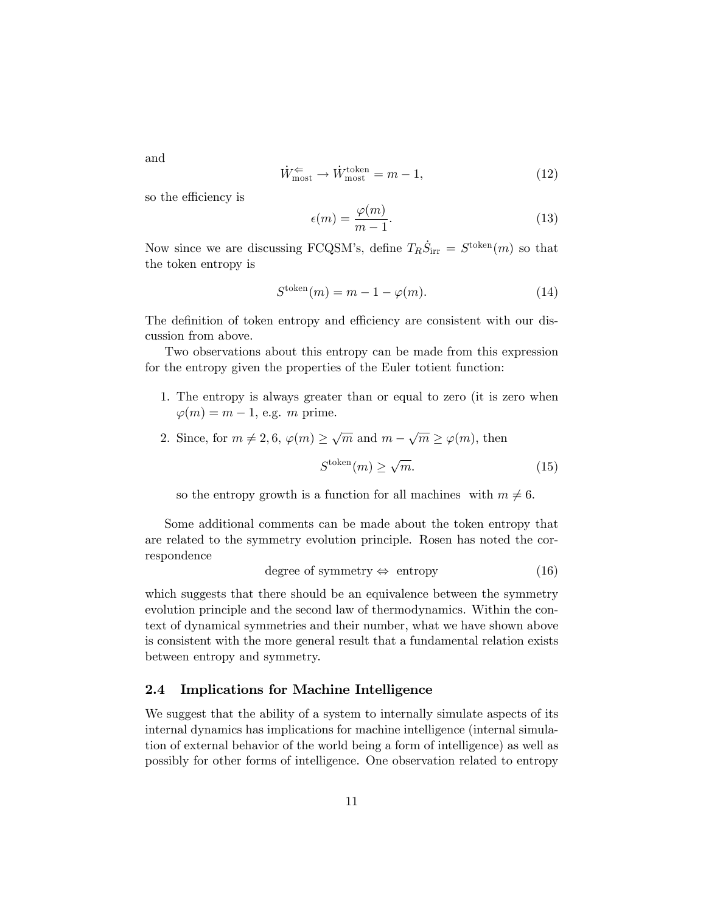and

$$
\dot{W}_{\text{most}}^{\Leftarrow} \to \dot{W}_{\text{most}}^{\text{token}} = m - 1,\tag{12}
$$

so the efficiency is

$$
\epsilon(m) = \frac{\varphi(m)}{m-1}.\tag{13}
$$

Now since we are discussing FCQSM's, define  $T_R \dot{S}_{irr} = S^{\text{token}}(m)$  so that the token entropy is

$$
S^{\text{token}}(m) = m - 1 - \varphi(m). \tag{14}
$$

The definition of token entropy and efficiency are consistent with our discussion from above.

Two observations about this entropy can be made from this expression for the entropy given the properties of the Euler totient function:

- 1. The entropy is always greater than or equal to zero (it is zero when  $\varphi(m) = m - 1$ , e.g. m prime.
- 2. Since, for  $m \neq 2, 6, \varphi(m) \geq \sqrt{m}$  and  $m \sqrt{m} \geq \varphi(m)$ , then

$$
S^{\text{token}}(m) \ge \sqrt{m}.\tag{15}
$$

so the entropy growth is a function for all machines with  $m \neq 6$ .

Some additional comments can be made about the token entropy that are related to the symmetry evolution principle. Rosen has noted the correspondence

degree of symmetry 
$$
\Leftrightarrow
$$
 entropy (16)

which suggests that there should be an equivalence between the symmetry evolution principle and the second law of thermodynamics. Within the context of dynamical symmetries and their number, what we have shown above is consistent with the more general result that a fundamental relation exists between entropy and symmetry.

#### 2.4 Implications for Machine Intelligence

We suggest that the ability of a system to internally simulate aspects of its internal dynamics has implications for machine intelligence (internal simulation of external behavior of the world being a form of intelligence) as well as possibly for other forms of intelligence. One observation related to entropy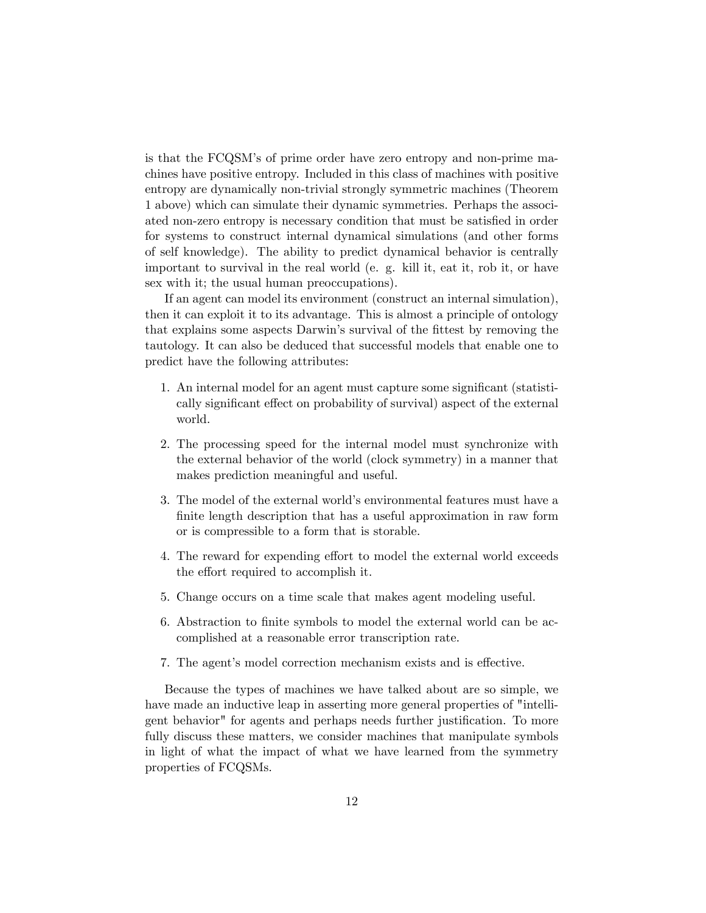is that the FCQSM's of prime order have zero entropy and non-prime machines have positive entropy. Included in this class of machines with positive entropy are dynamically non-trivial strongly symmetric machines (Theorem 1 above) which can simulate their dynamic symmetries. Perhaps the associated non-zero entropy is necessary condition that must be satisfied in order for systems to construct internal dynamical simulations (and other forms of self knowledge). The ability to predict dynamical behavior is centrally important to survival in the real world (e. g. kill it, eat it, rob it, or have sex with it; the usual human preoccupations).

If an agent can model its environment (construct an internal simulation), then it can exploit it to its advantage. This is almost a principle of ontology that explains some aspects Darwin's survival of the fittest by removing the tautology. It can also be deduced that successful models that enable one to predict have the following attributes:

- 1. An internal model for an agent must capture some significant (statistically significant effect on probability of survival) aspect of the external world.
- 2. The processing speed for the internal model must synchronize with the external behavior of the world (clock symmetry) in a manner that makes prediction meaningful and useful.
- 3. The model of the external world's environmental features must have a finite length description that has a useful approximation in raw form or is compressible to a form that is storable.
- 4. The reward for expending effort to model the external world exceeds the effort required to accomplish it.
- 5. Change occurs on a time scale that makes agent modeling useful.
- 6. Abstraction to finite symbols to model the external world can be accomplished at a reasonable error transcription rate.
- 7. The agent's model correction mechanism exists and is effective.

Because the types of machines we have talked about are so simple, we have made an inductive leap in asserting more general properties of "intelligent behavior" for agents and perhaps needs further justification. To more fully discuss these matters, we consider machines that manipulate symbols in light of what the impact of what we have learned from the symmetry properties of FCQSMs.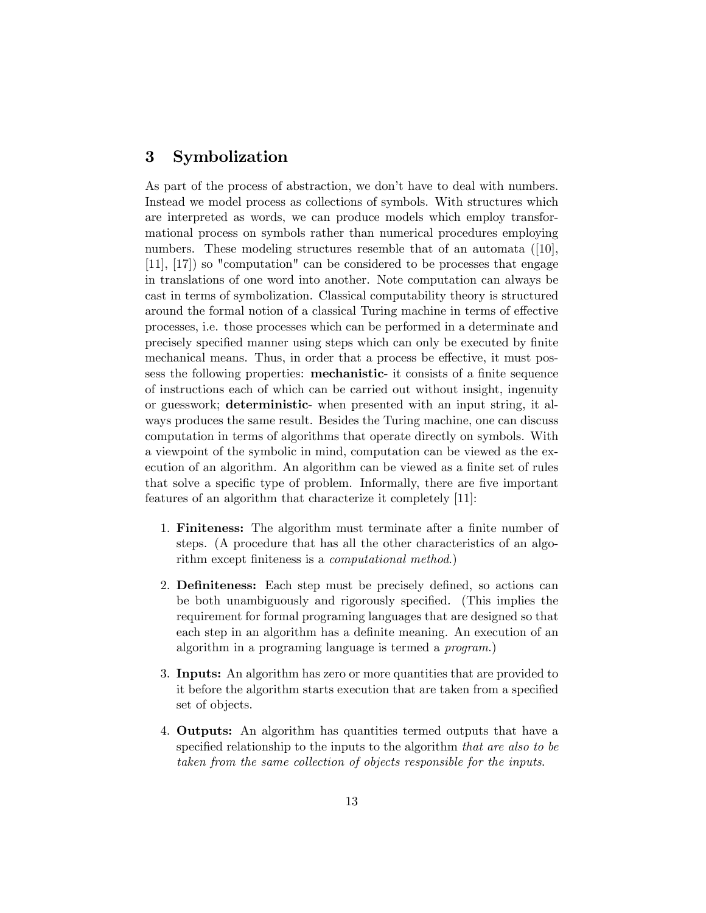### 3 Symbolization

As part of the process of abstraction, we don't have to deal with numbers. Instead we model process as collections of symbols. With structures which are interpreted as words, we can produce models which employ transformational process on symbols rather than numerical procedures employing numbers. These modeling structures resemble that of an automata ([10], [11], [17]) so "computation" can be considered to be processes that engage in translations of one word into another. Note computation can always be cast in terms of symbolization. Classical computability theory is structured around the formal notion of a classical Turing machine in terms of effective processes, i.e. those processes which can be performed in a determinate and precisely specified manner using steps which can only be executed by finite mechanical means. Thus, in order that a process be effective, it must possess the following properties: **mechanistic**- it consists of a finite sequence of instructions each of which can be carried out without insight, ingenuity or guesswork; deterministic- when presented with an input string, it always produces the same result. Besides the Turing machine, one can discuss computation in terms of algorithms that operate directly on symbols. With a viewpoint of the symbolic in mind, computation can be viewed as the execution of an algorithm. An algorithm can be viewed as a finite set of rules that solve a specific type of problem. Informally, there are five important features of an algorithm that characterize it completely [11]:

- 1. **Finiteness:** The algorithm must terminate after a finite number of steps. (A procedure that has all the other characteristics of an algorithm except finiteness is a *computational method*.)
- 2. **Definiteness:** Each step must be precisely defined, so actions can be both unambiguously and rigorously specified. (This implies the requirement for formal programing languages that are designed so that each step in an algorithm has a definite meaning. An execution of an algorithm in a programing language is termed a program.)
- 3. Inputs: An algorithm has zero or more quantities that are provided to it before the algorithm starts execution that are taken from a specified set of objects.
- 4. Outputs: An algorithm has quantities termed outputs that have a specified relationship to the inputs to the algorithm that are also to be taken from the same collection of objects responsible for the inputs.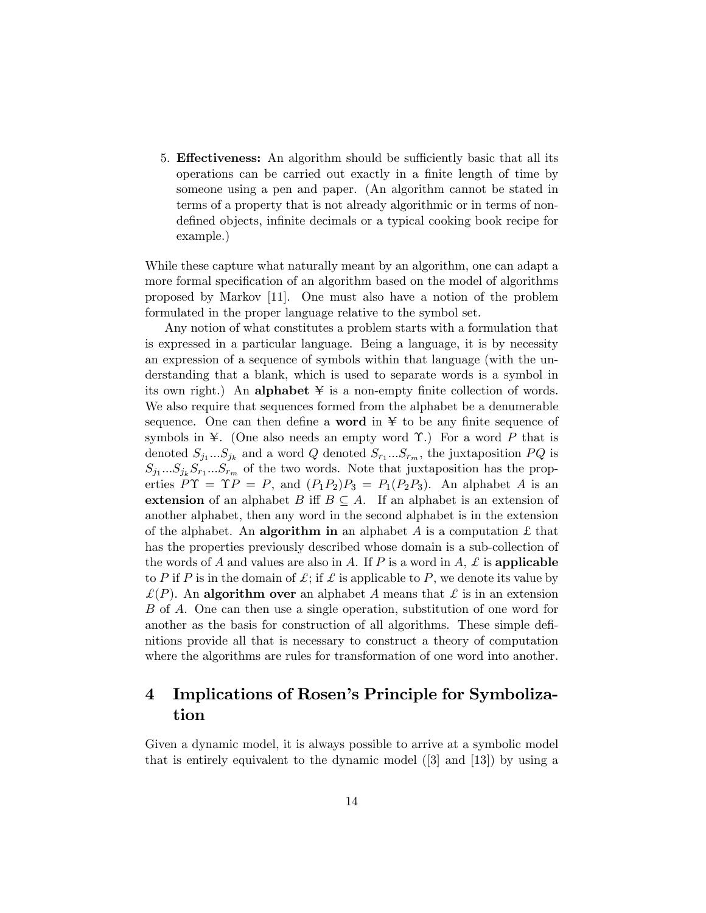5. **Effectiveness:** An algorithm should be sufficiently basic that all its operations can be carried out exactly in a finite length of time by someone using a pen and paper. (An algorithm cannot be stated in terms of a property that is not already algorithmic or in terms of nondefined objects, infinite decimals or a typical cooking book recipe for example.)

While these capture what naturally meant by an algorithm, one can adapt a more formal specification of an algorithm based on the model of algorithms proposed by Markov [11]. One must also have a notion of the problem formulated in the proper language relative to the symbol set.

Any notion of what constitutes a problem starts with a formulation that is expressed in a particular language. Being a language, it is by necessity an expression of a sequence of symbols within that language (with the understanding that a blank, which is used to separate words is a symbol in its own right.) An alphabet  $\yen$  is a non-empty finite collection of words. We also require that sequences formed from the alphabet be a denumerable sequence. One can then define a **word** in  $\ddot{x}$  to be any finite sequence of symbols in  $\mathcal{F}$ . (One also needs an empty word  $\Upsilon$ .) For a word P that is denoted  $S_{j_1}...S_{j_k}$  and a word Q denoted  $S_{r_1}...S_{r_m}$ , the juxtaposition  $PQ$  is  $S_{j_1}...S_{j_k}S_{r_1}...S_{r_m}$  of the two words. Note that juxtaposition has the properties  $\hat{P}\Upsilon = \Upsilon P = P$ , and  $(P_1P_2)P_3 = P_1(P_2P_3)$ . An alphabet A is an extension of an alphabet B iff  $B \subseteq A$ . If an alphabet is an extension of another alphabet, then any word in the second alphabet is in the extension of the alphabet. An **algorithm in** an alphabet A is a computation  $\pounds$  that has the properties previously described whose domain is a sub-collection of the words of A and values are also in A. If P is a word in  $A$ ,  $\mathcal L$  is applicable to P if P is in the domain of  $\mathcal{L}$ ; if  $\mathcal{L}$  is applicable to P, we denote its value by  $\mathcal{L}(P)$ . An algorithm over an alphabet A means that  $\mathcal{L}$  is in an extension B of A. One can then use a single operation, substitution of one word for another as the basis for construction of all algorithms. These simple definitions provide all that is necessary to construct a theory of computation where the algorithms are rules for transformation of one word into another.

## 4 Implications of Rosen's Principle for Symbolization

Given a dynamic model, it is always possible to arrive at a symbolic model that is entirely equivalent to the dynamic model ([3] and [13]) by using a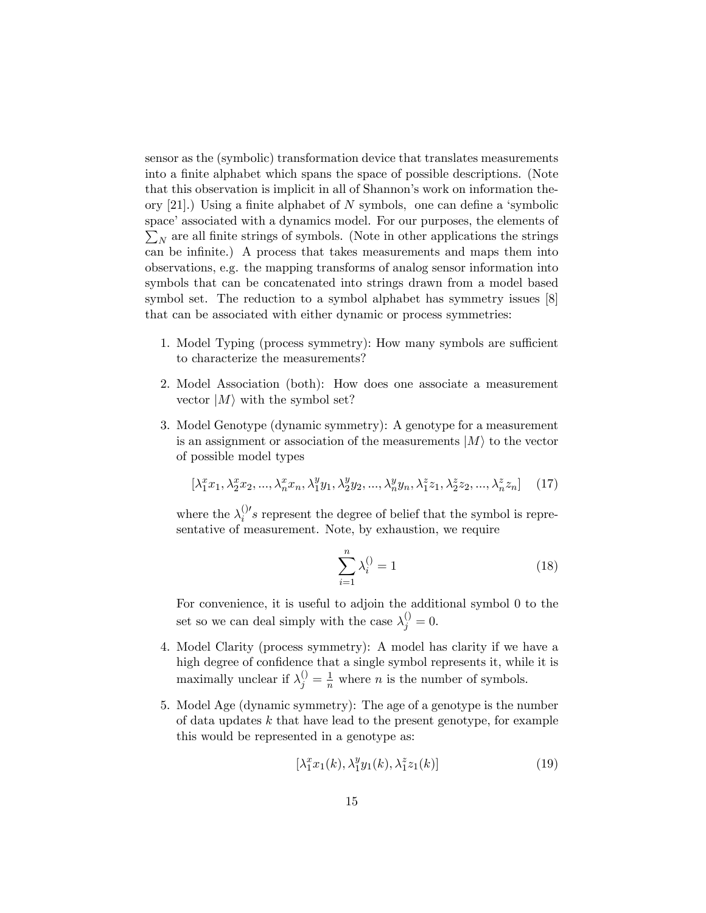sensor as the (symbolic) transformation device that translates measurements into a finite alphabet which spans the space of possible descriptions. (Note that this observation is implicit in all of Shannon's work on information theory  $[21]$ .) Using a finite alphabet of N symbols, one can define a 'symbolic space' associated with a dynamics model. For our purposes, the elements of  $\sum_N$  are all finite strings of symbols. (Note in other applications the strings can be infinite.) A process that takes measurements and maps them into observations, e.g. the mapping transforms of analog sensor information into symbols that can be concatenated into strings drawn from a model based symbol set. The reduction to a symbol alphabet has symmetry issues [8] that can be associated with either dynamic or process symmetries:

- 1. Model Typing (process symmetry): How many symbols are sufficient to characterize the measurements?
- 2. Model Association (both): How does one associate a measurement vector  $|M\rangle$  with the symbol set?
- 3. Model Genotype (dynamic symmetry): A genotype for a measurement is an assignment or association of the measurements  $|M\rangle$  to the vector of possible model types

$$
[\lambda_1^x x_1, \lambda_2^x x_2, \dots, \lambda_n^x x_n, \lambda_1^y y_1, \lambda_2^y y_2, \dots, \lambda_n^y y_n, \lambda_1^z z_1, \lambda_2^z z_2, \dots, \lambda_n^z z_n]
$$
 (17)

where the  $\lambda_i^{()}$ 's represent the degree of belief that the symbol is representative of measurement. Note, by exhaustion, we require

$$
\sum_{i=1}^{n} \lambda_i^{()} = 1
$$
 (18)

For convenience, it is useful to adjoin the additional symbol 0 to the set so we can deal simply with the case  $\lambda_j^{(i)} = 0$ .

- 4. Model Clarity (process symmetry): A model has clarity if we have a high degree of confidence that a single symbol represents it, while it is maximally unclear if  $\lambda_j^{()} = \frac{1}{n}$  where *n* is the number of symbols.
- 5. Model Age (dynamic symmetry): The age of a genotype is the number of data updates  $k$  that have lead to the present genotype, for example this would be represented in a genotype as:

$$
\left[\lambda_1^x x_1(k), \lambda_1^y y_1(k), \lambda_1^z z_1(k)\right] \tag{19}
$$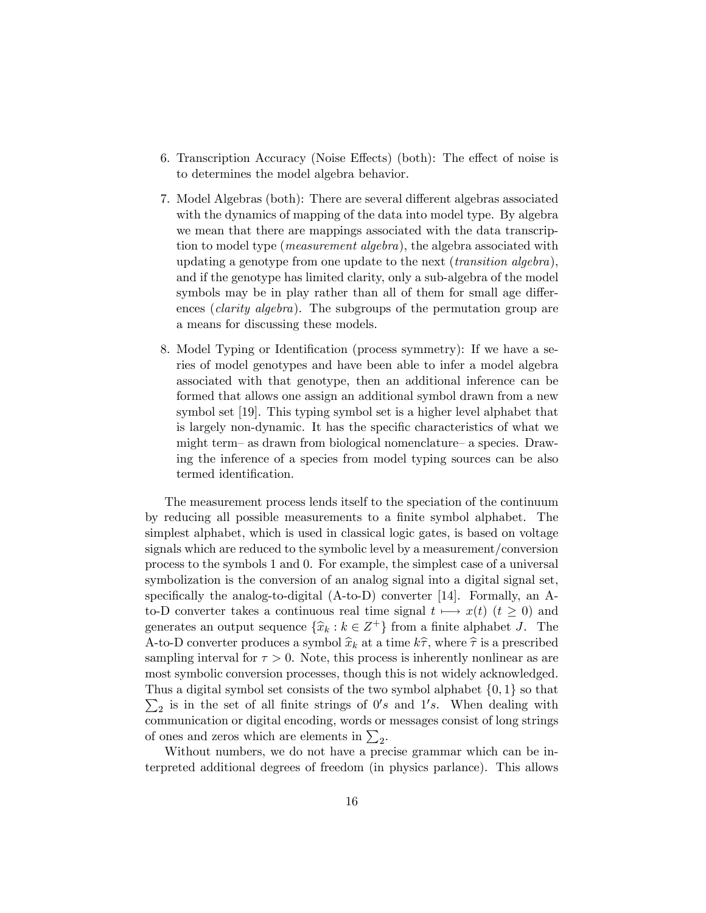- 6. Transcription Accuracy (Noise Effects) (both): The effect of noise is to determines the model algebra behavior.
- 7. Model Algebras (both): There are several different algebras associated with the dynamics of mapping of the data into model type. By algebra we mean that there are mappings associated with the data transcription to model type (*measurement algebra*), the algebra associated with updating a genotype from one update to the next *(transition algebra)*, and if the genotype has limited clarity, only a sub-algebra of the model symbols may be in play rather than all of them for small age differences *(clarity algebra)*. The subgroups of the permutation group are a means for discussing these models.
- 8. Model Typing or Identification (process symmetry): If we have a series of model genotypes and have been able to infer a model algebra associated with that genotype, then an additional inference can be formed that allows one assign an additional symbol drawn from a new symbol set [19]. This typing symbol set is a higher level alphabet that is largely non-dynamic. It has the specific characteristics of what we might term- as drawn from biological nomenclature- a species. Drawing the inference of a species from model typing sources can be also termed identification.

The measurement process lends itself to the speciation of the continuum by reducing all possible measurements to a finite symbol alphabet. The simplest alphabet, which is used in classical logic gates, is based on voltage signals which are reduced to the symbolic level by a measurement/conversion process to the symbols 1 and 0. For example, the simplest case of a universal symbolization is the conversion of an analog signal into a digital signal set, specifically the analog-to-digital  $(A-to-D)$  converter [14]. Formally, an Ato-D converter takes a continuous real time signal  $t \mapsto x(t)$   $(t \geq 0)$  and generates an output sequence  $\{\widehat{x}_k : k \in \mathbb{Z}^+\}$  from a finite alphabet J. The A-to-D converter produces a symbol  $\widehat{x}_k$  at a time  $k\widehat{\tau}$ , where  $\widehat{\tau}$  is a prescribed sampling interval for  $\tau > 0$ . Note, this process is inherently nonlinear as are most symbolic conversion processes, though this is not widely acknowledged.  $\sum_2$  is in the set of all finite strings of  $0's$  and  $1's$ . When dealing with Thus a digital symbol set consists of the two symbol alphabet  $\{0, 1\}$  so that communication or digital encoding, words or messages consist of long strings of ones and zeros which are elements in  $\sum_2$ .

Without numbers, we do not have a precise grammar which can be interpreted additional degrees of freedom (in physics parlance). This allows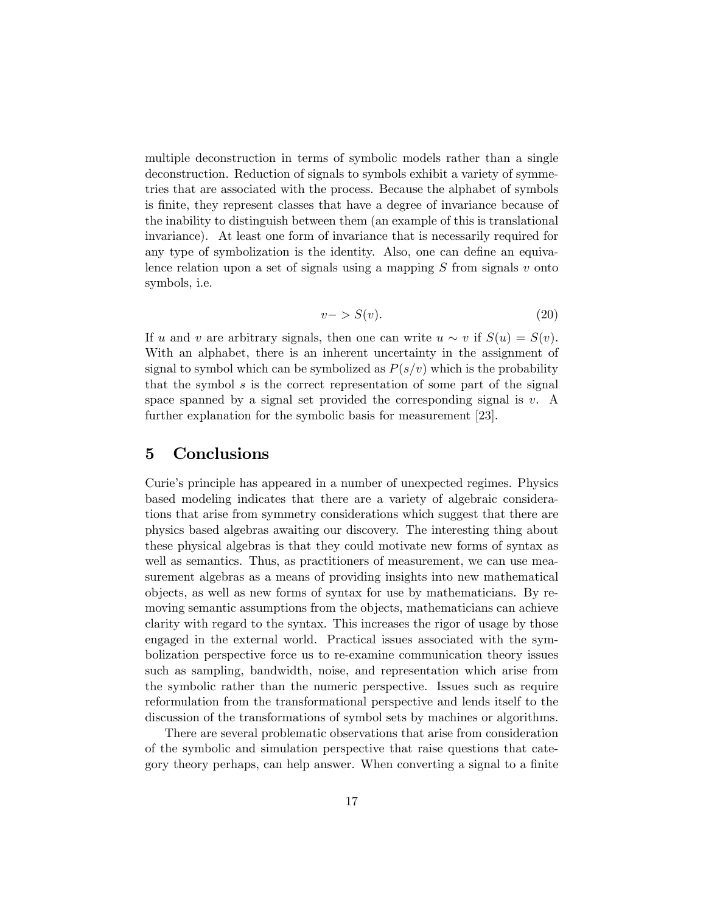multiple deconstruction in terms of symbolic models rather than a single deconstruction. Reduction of signals to symbols exhibit a variety of symmetries that are associated with the process. Because the alphabet of symbols is Önite, they represent classes that have a degree of invariance because of the inability to distinguish between them (an example of this is translational invariance). At least one form of invariance that is necessarily required for any type of symbolization is the identity. Also, one can define an equivalence relation upon a set of signals using a mapping  $S$  from signals  $v$  onto symbols, i.e.

$$
v->S(v). \t\t(20)
$$

If u and v are arbitrary signals, then one can write  $u \sim v$  if  $S(u) = S(v)$ . With an alphabet, there is an inherent uncertainty in the assignment of signal to symbol which can be symbolized as  $P(s/v)$  which is the probability that the symbol s is the correct representation of some part of the signal space spanned by a signal set provided the corresponding signal is  $v$ . A further explanation for the symbolic basis for measurement [23].

### 5 Conclusions

Curie's principle has appeared in a number of unexpected regimes. Physics based modeling indicates that there are a variety of algebraic considerations that arise from symmetry considerations which suggest that there are physics based algebras awaiting our discovery. The interesting thing about these physical algebras is that they could motivate new forms of syntax as well as semantics. Thus, as practitioners of measurement, we can use measurement algebras as a means of providing insights into new mathematical objects, as well as new forms of syntax for use by mathematicians. By removing semantic assumptions from the objects, mathematicians can achieve clarity with regard to the syntax. This increases the rigor of usage by those engaged in the external world. Practical issues associated with the symbolization perspective force us to re-examine communication theory issues such as sampling, bandwidth, noise, and representation which arise from the symbolic rather than the numeric perspective. Issues such as require reformulation from the transformational perspective and lends itself to the discussion of the transformations of symbol sets by machines or algorithms.

There are several problematic observations that arise from consideration of the symbolic and simulation perspective that raise questions that category theory perhaps, can help answer. When converting a signal to a finite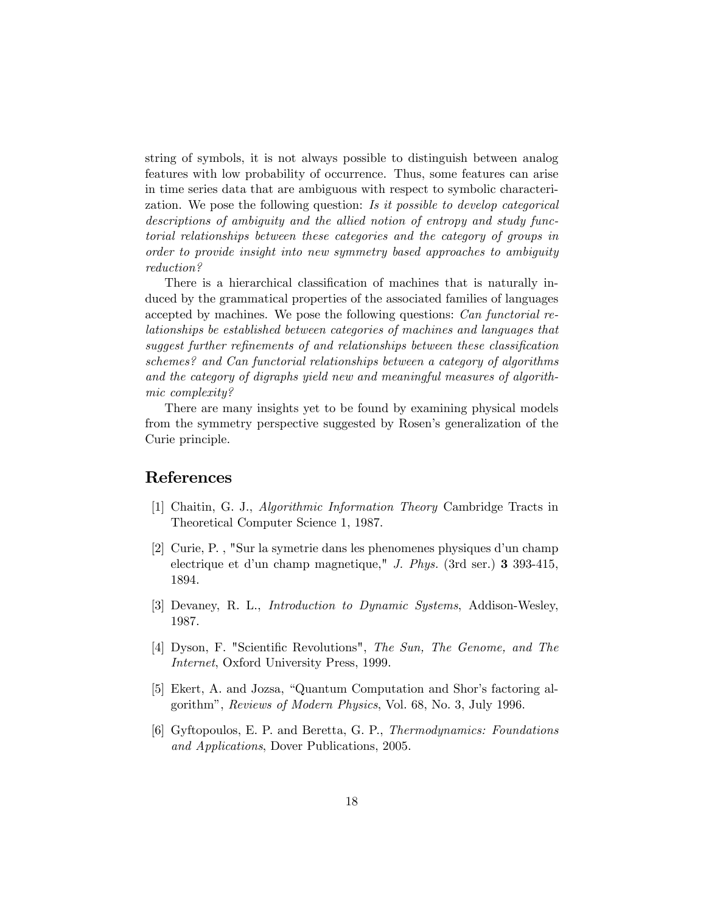string of symbols, it is not always possible to distinguish between analog features with low probability of occurrence. Thus, some features can arise in time series data that are ambiguous with respect to symbolic characterization. We pose the following question: Is it possible to develop categorical descriptions of ambiguity and the allied notion of entropy and study functorial relationships between these categories and the category of groups in order to provide insight into new symmetry based approaches to ambiguity reduction?

There is a hierarchical classification of machines that is naturally induced by the grammatical properties of the associated families of languages accepted by machines. We pose the following questions: Can functorial relationships be established between categories of machines and languages that suggest further refinements of and relationships between these classification schemes? and Can functorial relationships between a category of algorithms and the category of digraphs yield new and meaningful measures of algorithmic complexity?

There are many insights yet to be found by examining physical models from the symmetry perspective suggested by Rosen's generalization of the Curie principle.

### References

- [1] Chaitin, G. J., Algorithmic Information Theory Cambridge Tracts in Theoretical Computer Science 1, 1987.
- [2] Curie, P., "Sur la symetrie dans les phenomenes physiques d'un champ electrique et d'un champ magnetique," J. Phys. (3rd ser.)  $3\,393-415$ , 1894.
- [3] Devaney, R. L., Introduction to Dynamic Systems, Addison-Wesley, 1987.
- [4] Dyson, F. "Scientific Revolutions", The Sun, The Genome, and The Internet, Oxford University Press, 1999.
- [5] Ekert, A. and Jozsa, "Quantum Computation and Shor's factoring algorithmî, Reviews of Modern Physics, Vol. 68, No. 3, July 1996.
- [6] Gyftopoulos, E. P. and Beretta, G. P., Thermodynamics: Foundations and Applications, Dover Publications, 2005.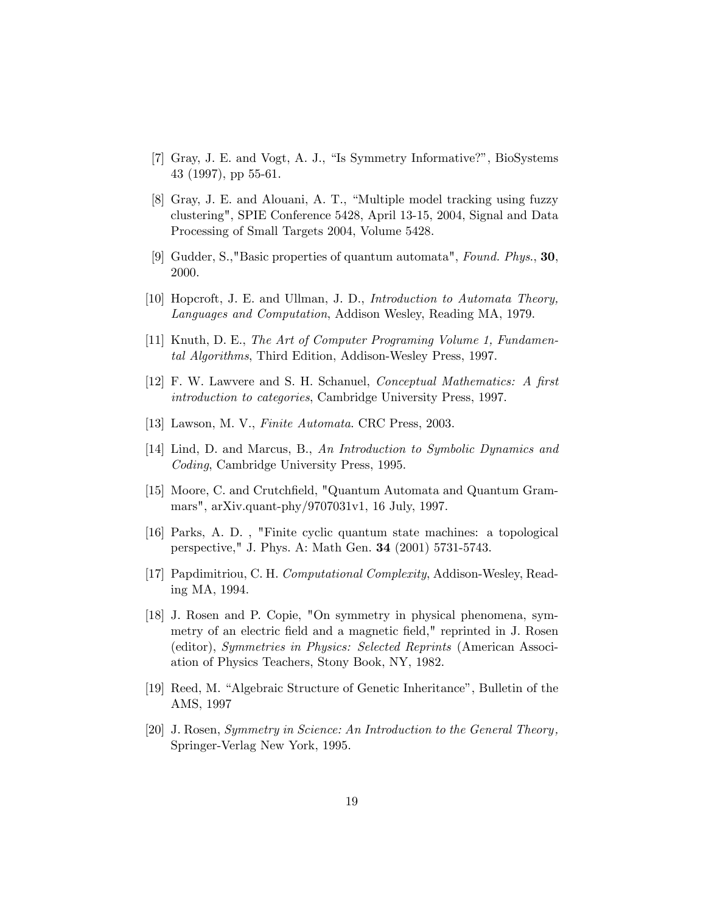- [7] Gray, J. E. and Vogt, A. J., "Is Symmetry Informative?", BioSystems 43 (1997), pp 55-61.
- [8] Gray, J. E. and Alouani, A. T., "Multiple model tracking using fuzzy clustering", SPIE Conference 5428, April 13-15, 2004, Signal and Data Processing of Small Targets 2004, Volume 5428.
- [9] Gudder, S.,"Basic properties of quantum automata", Found. Phys., 30, 2000.
- [10] Hopcroft, J. E. and Ullman, J. D., Introduction to Automata Theory, Languages and Computation, Addison Wesley, Reading MA, 1979.
- [11] Knuth, D. E., The Art of Computer Programing Volume 1, Fundamental Algorithms, Third Edition, Addison-Wesley Press, 1997.
- [12] F. W. Lawvere and S. H. Schanuel, *Conceptual Mathematics: A first* introduction to categories, Cambridge University Press, 1997.
- [13] Lawson, M. V., Finite Automata. CRC Press, 2003.
- [14] Lind, D. and Marcus, B., An Introduction to Symbolic Dynamics and Coding, Cambridge University Press, 1995.
- [15] Moore, C. and Crutchfield, "Quantum Automata and Quantum Grammars", arXiv.quant-phy/9707031v1, 16 July, 1997.
- [16] Parks, A. D. , "Finite cyclic quantum state machines: a topological perspective," J. Phys. A: Math Gen. 34 (2001) 5731-5743.
- [17] Papdimitriou, C. H. Computational Complexity, Addison-Wesley, Reading MA, 1994.
- [18] J. Rosen and P. Copie, "On symmetry in physical phenomena, symmetry of an electric field and a magnetic field," reprinted in J. Rosen (editor), Symmetries in Physics: Selected Reprints (American Association of Physics Teachers, Stony Book, NY, 1982.
- [19] Reed, M. "Algebraic Structure of Genetic Inheritance", Bulletin of the AMS, 1997
- [20] J. Rosen, Symmetry in Science: An Introduction to the General Theory , Springer-Verlag New York, 1995.